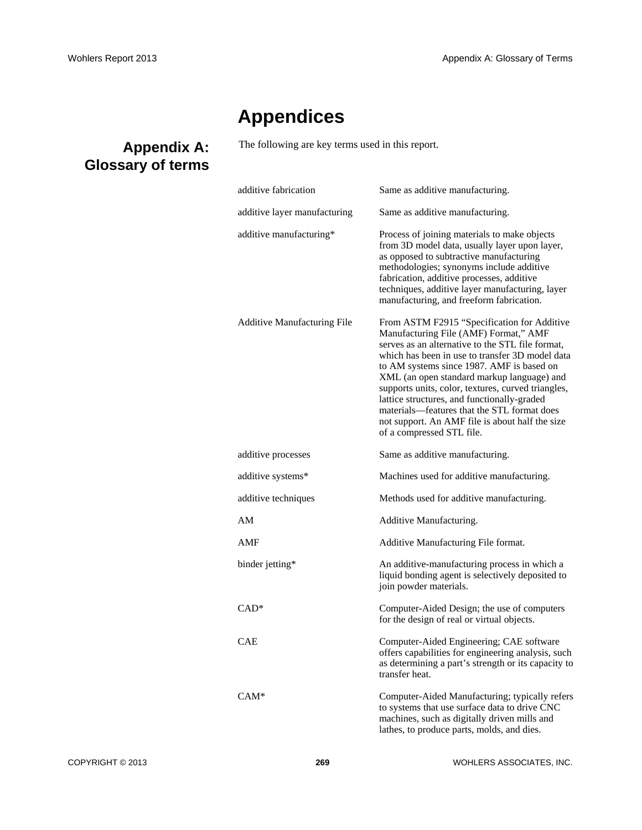## **Appendices**

The following are key terms used in this report.

| additive fabrication               | Same as additive manufacturing.                                                                                                                                                                                                                                                                                                                                                                                                                                                                                            |
|------------------------------------|----------------------------------------------------------------------------------------------------------------------------------------------------------------------------------------------------------------------------------------------------------------------------------------------------------------------------------------------------------------------------------------------------------------------------------------------------------------------------------------------------------------------------|
| additive layer manufacturing       | Same as additive manufacturing.                                                                                                                                                                                                                                                                                                                                                                                                                                                                                            |
| additive manufacturing*            | Process of joining materials to make objects<br>from 3D model data, usually layer upon layer,<br>as opposed to subtractive manufacturing<br>methodologies; synonyms include additive<br>fabrication, additive processes, additive<br>techniques, additive layer manufacturing, layer<br>manufacturing, and freeform fabrication.                                                                                                                                                                                           |
| <b>Additive Manufacturing File</b> | From ASTM F2915 "Specification for Additive<br>Manufacturing File (AMF) Format," AMF<br>serves as an alternative to the STL file format,<br>which has been in use to transfer 3D model data<br>to AM systems since 1987. AMF is based on<br>XML (an open standard markup language) and<br>supports units, color, textures, curved triangles,<br>lattice structures, and functionally-graded<br>materials—features that the STL format does<br>not support. An AMF file is about half the size<br>of a compressed STL file. |
| additive processes                 | Same as additive manufacturing.                                                                                                                                                                                                                                                                                                                                                                                                                                                                                            |
| additive systems*                  | Machines used for additive manufacturing.                                                                                                                                                                                                                                                                                                                                                                                                                                                                                  |
| additive techniques                | Methods used for additive manufacturing.                                                                                                                                                                                                                                                                                                                                                                                                                                                                                   |
| AM                                 | Additive Manufacturing.                                                                                                                                                                                                                                                                                                                                                                                                                                                                                                    |
| AMF                                | Additive Manufacturing File format.                                                                                                                                                                                                                                                                                                                                                                                                                                                                                        |
| binder jetting*                    | An additive-manufacturing process in which a<br>liquid bonding agent is selectively deposited to<br>join powder materials.                                                                                                                                                                                                                                                                                                                                                                                                 |
| $CAD*$                             | Computer-Aided Design; the use of computers<br>for the design of real or virtual objects.                                                                                                                                                                                                                                                                                                                                                                                                                                  |
| <b>CAE</b>                         | Computer-Aided Engineering; CAE software<br>offers capabilities for engineering analysis, such<br>as determining a part's strength or its capacity to<br>transfer heat.                                                                                                                                                                                                                                                                                                                                                    |
| $CAM*$                             | Computer-Aided Manufacturing; typically refers<br>to systems that use surface data to drive CNC<br>machines, such as digitally driven mills and<br>lathes, to produce parts, molds, and dies.                                                                                                                                                                                                                                                                                                                              |

## **Appendix A: Glossary of terms**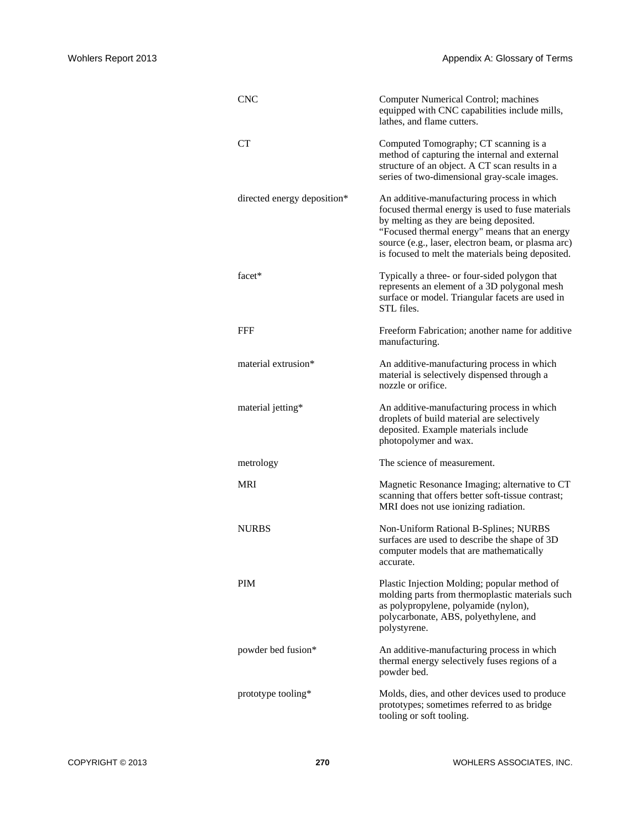| <b>CNC</b>                  | Computer Numerical Control; machines<br>equipped with CNC capabilities include mills,<br>lathes, and flame cutters.                                                                                                                                                                                   |
|-----------------------------|-------------------------------------------------------------------------------------------------------------------------------------------------------------------------------------------------------------------------------------------------------------------------------------------------------|
| <b>CT</b>                   | Computed Tomography; CT scanning is a<br>method of capturing the internal and external<br>structure of an object. A CT scan results in a<br>series of two-dimensional gray-scale images.                                                                                                              |
| directed energy deposition* | An additive-manufacturing process in which<br>focused thermal energy is used to fuse materials<br>by melting as they are being deposited.<br>"Focused thermal energy" means that an energy<br>source (e.g., laser, electron beam, or plasma arc)<br>is focused to melt the materials being deposited. |
| facet*                      | Typically a three- or four-sided polygon that<br>represents an element of a 3D polygonal mesh<br>surface or model. Triangular facets are used in<br>STL files.                                                                                                                                        |
| FFF                         | Freeform Fabrication; another name for additive<br>manufacturing.                                                                                                                                                                                                                                     |
| material extrusion*         | An additive-manufacturing process in which<br>material is selectively dispensed through a<br>nozzle or orifice.                                                                                                                                                                                       |
| material jetting*           | An additive-manufacturing process in which<br>droplets of build material are selectively<br>deposited. Example materials include<br>photopolymer and wax.                                                                                                                                             |
| metrology                   | The science of measurement.                                                                                                                                                                                                                                                                           |
| <b>MRI</b>                  | Magnetic Resonance Imaging; alternative to CT<br>scanning that offers better soft-tissue contrast;<br>MRI does not use ionizing radiation.                                                                                                                                                            |
| <b>NURBS</b>                | Non-Uniform Rational B-Splines; NURBS<br>surfaces are used to describe the shape of 3D<br>computer models that are mathematically<br>accurate.                                                                                                                                                        |
| <b>PIM</b>                  | Plastic Injection Molding; popular method of<br>molding parts from thermoplastic materials such<br>as polypropylene, polyamide (nylon),<br>polycarbonate, ABS, polyethylene, and<br>polystyrene.                                                                                                      |
| powder bed fusion*          | An additive-manufacturing process in which<br>thermal energy selectively fuses regions of a<br>powder bed.                                                                                                                                                                                            |
| prototype tooling*          | Molds, dies, and other devices used to produce<br>prototypes; sometimes referred to as bridge<br>tooling or soft tooling.                                                                                                                                                                             |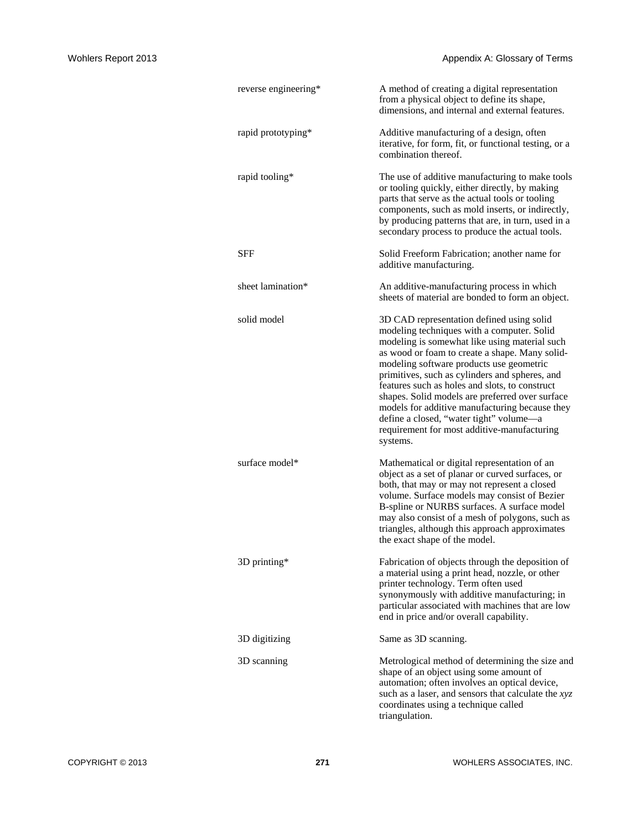| reverse engineering* | A method of creating a digital representation<br>from a physical object to define its shape,<br>dimensions, and internal and external features.                                                                                                                                                                                                                                                                                                                                                                                                       |
|----------------------|-------------------------------------------------------------------------------------------------------------------------------------------------------------------------------------------------------------------------------------------------------------------------------------------------------------------------------------------------------------------------------------------------------------------------------------------------------------------------------------------------------------------------------------------------------|
| rapid prototyping*   | Additive manufacturing of a design, often<br>iterative, for form, fit, or functional testing, or a<br>combination thereof.                                                                                                                                                                                                                                                                                                                                                                                                                            |
| rapid tooling*       | The use of additive manufacturing to make tools<br>or tooling quickly, either directly, by making<br>parts that serve as the actual tools or tooling<br>components, such as mold inserts, or indirectly,<br>by producing patterns that are, in turn, used in a<br>secondary process to produce the actual tools.                                                                                                                                                                                                                                      |
| <b>SFF</b>           | Solid Freeform Fabrication; another name for<br>additive manufacturing.                                                                                                                                                                                                                                                                                                                                                                                                                                                                               |
| sheet lamination*    | An additive-manufacturing process in which<br>sheets of material are bonded to form an object.                                                                                                                                                                                                                                                                                                                                                                                                                                                        |
| solid model          | 3D CAD representation defined using solid<br>modeling techniques with a computer. Solid<br>modeling is somewhat like using material such<br>as wood or foam to create a shape. Many solid-<br>modeling software products use geometric<br>primitives, such as cylinders and spheres, and<br>features such as holes and slots, to construct<br>shapes. Solid models are preferred over surface<br>models for additive manufacturing because they<br>define a closed, "water tight" volume-a<br>requirement for most additive-manufacturing<br>systems. |
| surface model*       | Mathematical or digital representation of an<br>object as a set of planar or curved surfaces, or<br>both, that may or may not represent a closed<br>volume. Surface models may consist of Bezier<br>B-spline or NURBS surfaces. A surface model<br>may also consist of a mesh of polygons, such as<br>triangles, although this approach approximates<br>the exact shape of the model.                                                                                                                                                                 |
| 3D printing*         | Fabrication of objects through the deposition of<br>a material using a print head, nozzle, or other<br>printer technology. Term often used<br>synonymously with additive manufacturing; in<br>particular associated with machines that are low<br>end in price and/or overall capability.                                                                                                                                                                                                                                                             |
| 3D digitizing        | Same as 3D scanning.                                                                                                                                                                                                                                                                                                                                                                                                                                                                                                                                  |
| 3D scanning          | Metrological method of determining the size and<br>shape of an object using some amount of<br>automation; often involves an optical device,<br>such as a laser, and sensors that calculate the xyz<br>coordinates using a technique called<br>triangulation.                                                                                                                                                                                                                                                                                          |